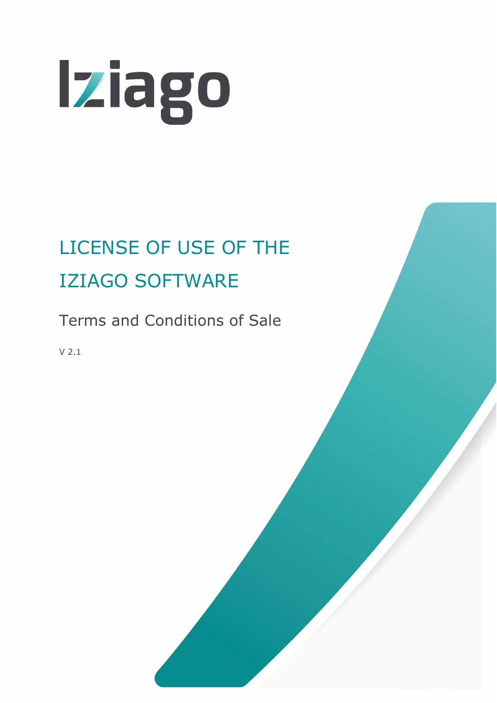

# LICENSE OF USE OF THE IZIAGO SOFTWARE

Terms and Conditions of Sale

V 2.1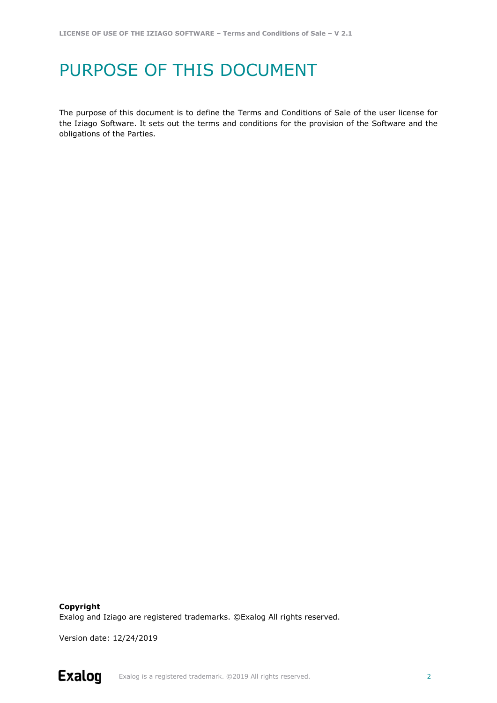### PURPOSE OF THIS DOCUMENT

The purpose of this document is to define the Terms and Conditions of Sale of the user license for the Iziago Software. It sets out the terms and conditions for the provision of the Software and the obligations of the Parties.

**Copyright** Exalog and Iziago are registered trademarks. ©Exalog All rights reserved.

Version date: 12/24/2019

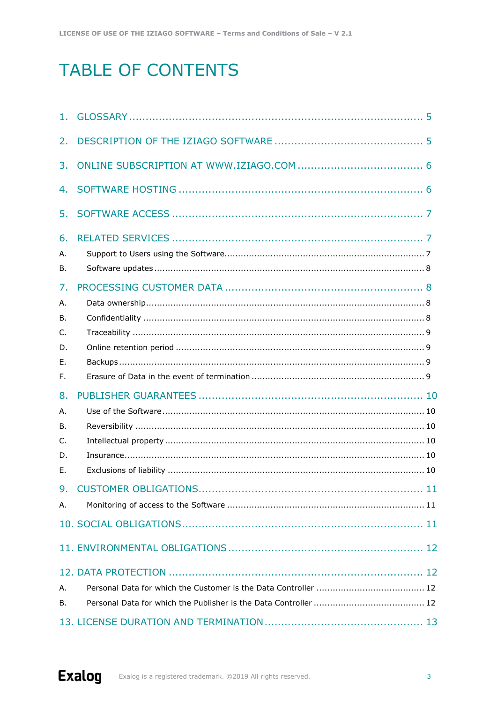## **TABLE OF CONTENTS**

| 2.                                     |  |
|----------------------------------------|--|
| 3.                                     |  |
| 4.                                     |  |
| 5.                                     |  |
| 6.<br>А.<br>В.                         |  |
| 7.<br>А.<br>В.<br>C.<br>D.<br>Е.<br>F. |  |
| 8.<br>А.<br>В.<br>C.<br>D.<br>Е.       |  |
| Α.                                     |  |
|                                        |  |
| А.<br>В.                               |  |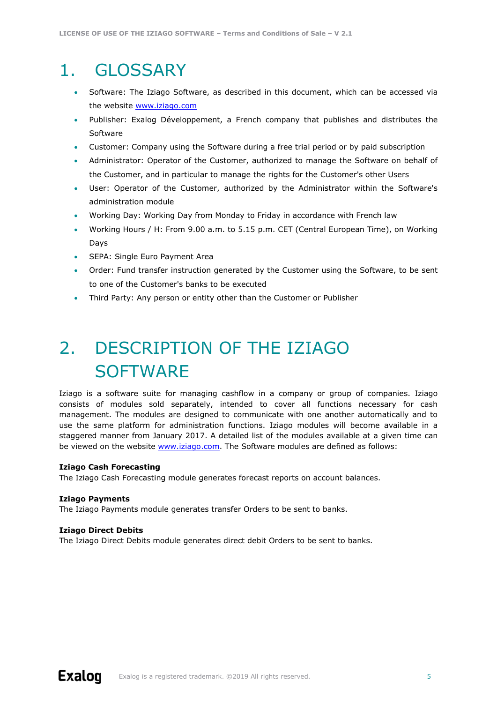### <span id="page-4-0"></span>1. GLOSSARY

- Software: The Iziago Software, as described in this document, which can be accessed via the website [www.iziago.com](http://www.iziago.com/)
- Publisher: Exalog Développement, a French company that publishes and distributes the Software
- Customer: Company using the Software during a free trial period or by paid subscription
- Administrator: Operator of the Customer, authorized to manage the Software on behalf of the Customer, and in particular to manage the rights for the Customer's other Users
- User: Operator of the Customer, authorized by the Administrator within the Software's administration module
- Working Day: Working Day from Monday to Friday in accordance with French law
- Working Hours / H: From 9.00 a.m. to 5.15 p.m. CET (Central European Time), on Working Days
- SEPA: Single Euro Payment Area
- Order: Fund transfer instruction generated by the Customer using the Software, to be sent to one of the Customer's banks to be executed
- Third Party: Any person or entity other than the Customer or Publisher

## <span id="page-4-1"></span>2. DESCRIPTION OF THE IZIAGO **SOFTWARE**

Iziago is a software suite for managing cashflow in a company or group of companies. Iziago consists of modules sold separately, intended to cover all functions necessary for cash management. The modules are designed to communicate with one another automatically and to use the same platform for administration functions. Iziago modules will become available in a staggered manner from January 2017. A detailed list of the modules available at a given time can be viewed on the website [www.iziago.com.](http://www.iziago.com/) The Software modules are defined as follows:

#### **Iziago Cash Forecasting**

The Iziago Cash Forecasting module generates forecast reports on account balances.

#### **Iziago Payments**

The Iziago Payments module generates transfer Orders to be sent to banks.

#### **Iziago Direct Debits**

The Iziago Direct Debits module generates direct debit Orders to be sent to banks.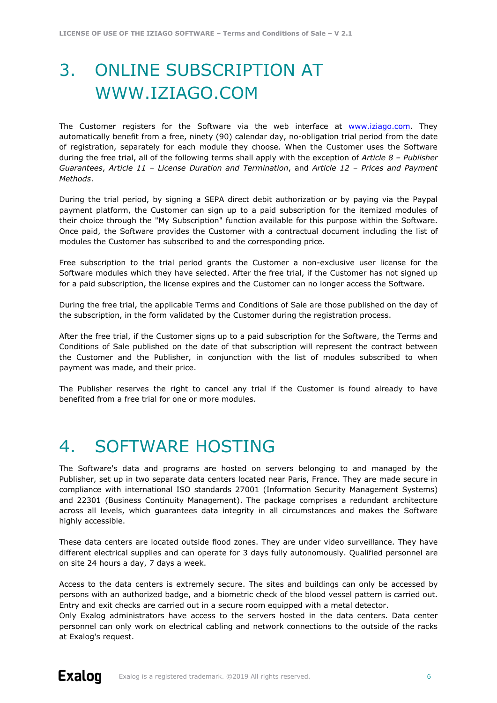# <span id="page-5-0"></span>3. ONLINE SUBSCRIPTION AT WWW.IZIAGO.COM

The Customer registers for the Software via the web interface at [www.iziago.com.](http://www.iziago.com/) They automatically benefit from a free, ninety (90) calendar day, no-obligation trial period from the date of registration, separately for each module they choose. When the Customer uses the Software during the free trial, all of the following terms shall apply with the exception of *Article 8 – Publisher Guarantees*, *Article 11 – License Duration and Termination*, and *Article 12 – Prices and Payment Methods*.

During the trial period, by signing a SEPA direct debit authorization or by paying via the Paypal payment platform, the Customer can sign up to a paid subscription for the itemized modules of their choice through the "My Subscription" function available for this purpose within the Software. Once paid, the Software provides the Customer with a contractual document including the list of modules the Customer has subscribed to and the corresponding price.

Free subscription to the trial period grants the Customer a non-exclusive user license for the Software modules which they have selected. After the free trial, if the Customer has not signed up for a paid subscription, the license expires and the Customer can no longer access the Software.

During the free trial, the applicable Terms and Conditions of Sale are those published on the day of the subscription, in the form validated by the Customer during the registration process.

After the free trial, if the Customer signs up to a paid subscription for the Software, the Terms and Conditions of Sale published on the date of that subscription will represent the contract between the Customer and the Publisher, in conjunction with the list of modules subscribed to when payment was made, and their price.

The Publisher reserves the right to cancel any trial if the Customer is found already to have benefited from a free trial for one or more modules.

### <span id="page-5-1"></span>4. SOFTWARE HOSTING

The Software's data and programs are hosted on servers belonging to and managed by the Publisher, set up in two separate data centers located near Paris, France. They are made secure in compliance with international ISO standards 27001 (Information Security Management Systems) and 22301 (Business Continuity Management). The package comprises a redundant architecture across all levels, which guarantees data integrity in all circumstances and makes the Software highly accessible.

These data centers are located outside flood zones. They are under video surveillance. They have different electrical supplies and can operate for 3 days fully autonomously. Qualified personnel are on site 24 hours a day, 7 days a week.

Access to the data centers is extremely secure. The sites and buildings can only be accessed by persons with an authorized badge, and a biometric check of the blood vessel pattern is carried out. Entry and exit checks are carried out in a secure room equipped with a metal detector.

Only Exalog administrators have access to the servers hosted in the data centers. Data center personnel can only work on electrical cabling and network connections to the outside of the racks at Exalog's request.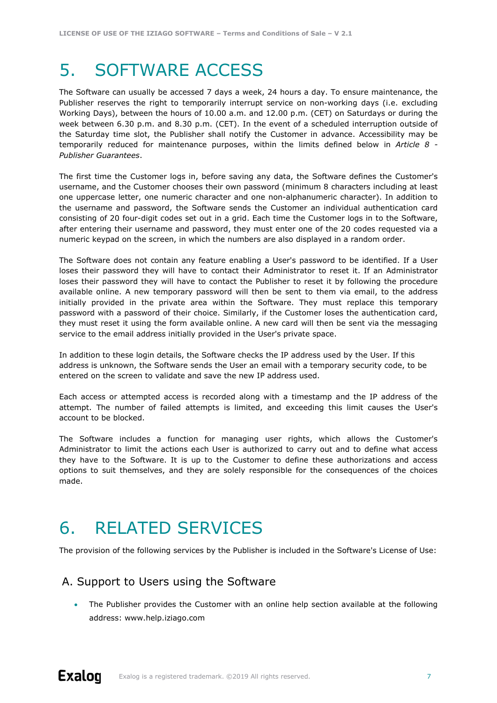### <span id="page-6-0"></span>5. SOFTWARE ACCESS

The Software can usually be accessed 7 days a week, 24 hours a day. To ensure maintenance, the Publisher reserves the right to temporarily interrupt service on non-working days (i.e. excluding Working Days), between the hours of 10.00 a.m. and 12.00 p.m. (CET) on Saturdays or during the week between 6.30 p.m. and 8.30 p.m. (CET). In the event of a scheduled interruption outside of the Saturday time slot, the Publisher shall notify the Customer in advance. Accessibility may be temporarily reduced for maintenance purposes, within the limits defined below in *Article 8 - Publisher Guarantees*.

The first time the Customer logs in, before saving any data, the Software defines the Customer's username, and the Customer chooses their own password (minimum 8 characters including at least one uppercase letter, one numeric character and one non-alphanumeric character). In addition to the username and password, the Software sends the Customer an individual authentication card consisting of 20 four-digit codes set out in a grid. Each time the Customer logs in to the Software, after entering their username and password, they must enter one of the 20 codes requested via a numeric keypad on the screen, in which the numbers are also displayed in a random order.

The Software does not contain any feature enabling a User's password to be identified. If a User loses their password they will have to contact their Administrator to reset it. If an Administrator loses their password they will have to contact the Publisher to reset it by following the procedure available online. A new temporary password will then be sent to them via email, to the address initially provided in the private area within the Software. They must replace this temporary password with a password of their choice. Similarly, if the Customer loses the authentication card, they must reset it using the form available online. A new card will then be sent via the messaging service to the email address initially provided in the User's private space.

In addition to these login details, the Software checks the IP address used by the User. If this address is unknown, the Software sends the User an email with a temporary security code, to be entered on the screen to validate and save the new IP address used.

Each access or attempted access is recorded along with a timestamp and the IP address of the attempt. The number of failed attempts is limited, and exceeding this limit causes the User's account to be blocked.

The Software includes a function for managing user rights, which allows the Customer's Administrator to limit the actions each User is authorized to carry out and to define what access they have to the Software. It is up to the Customer to define these authorizations and access options to suit themselves, and they are solely responsible for the consequences of the choices made.

### <span id="page-6-1"></span>6. RELATED SERVICES

The provision of the following services by the Publisher is included in the Software's License of Use:

#### <span id="page-6-2"></span>A. Support to Users using the Software

• The Publisher provides the Customer with an online help section available at the following address: www.help.iziago.com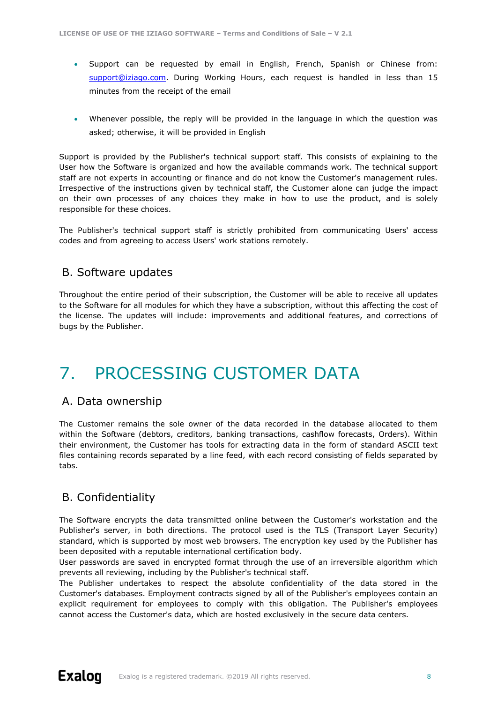- Support can be requested by email in English, French, Spanish or Chinese from: [support@iziago.com.](mailto:support@iziago.com) During Working Hours, each request is handled in less than 15 minutes from the receipt of the email
- Whenever possible, the reply will be provided in the language in which the question was asked; otherwise, it will be provided in English

Support is provided by the Publisher's technical support staff. This consists of explaining to the User how the Software is organized and how the available commands work. The technical support staff are not experts in accounting or finance and do not know the Customer's management rules. Irrespective of the instructions given by technical staff, the Customer alone can judge the impact on their own processes of any choices they make in how to use the product, and is solely responsible for these choices.

The Publisher's technical support staff is strictly prohibited from communicating Users' access codes and from agreeing to access Users' work stations remotely.

#### <span id="page-7-0"></span>B. Software updates

Throughout the entire period of their subscription, the Customer will be able to receive all updates to the Software for all modules for which they have a subscription, without this affecting the cost of the license. The updates will include: improvements and additional features, and corrections of bugs by the Publisher.

### <span id="page-7-1"></span>7. PROCESSING CUSTOMER DATA

#### <span id="page-7-2"></span>A. Data ownership

The Customer remains the sole owner of the data recorded in the database allocated to them within the Software (debtors, creditors, banking transactions, cashflow forecasts, Orders). Within their environment, the Customer has tools for extracting data in the form of standard ASCII text files containing records separated by a line feed, with each record consisting of fields separated by tabs.

#### <span id="page-7-3"></span>B. Confidentiality

The Software encrypts the data transmitted online between the Customer's workstation and the Publisher's server, in both directions. The protocol used is the TLS (Transport Layer Security) standard, which is supported by most web browsers. The encryption key used by the Publisher has been deposited with a reputable international certification body.

User passwords are saved in encrypted format through the use of an irreversible algorithm which prevents all reviewing, including by the Publisher's technical staff.

The Publisher undertakes to respect the absolute confidentiality of the data stored in the Customer's databases. Employment contracts signed by all of the Publisher's employees contain an explicit requirement for employees to comply with this obligation. The Publisher's employees cannot access the Customer's data, which are hosted exclusively in the secure data centers.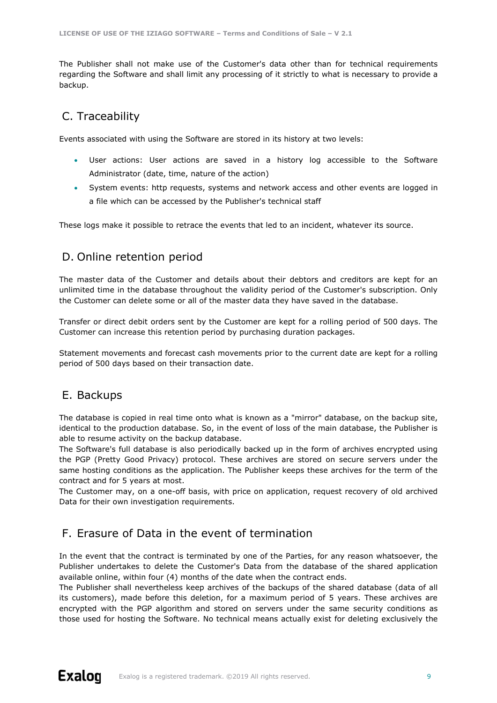The Publisher shall not make use of the Customer's data other than for technical requirements regarding the Software and shall limit any processing of it strictly to what is necessary to provide a backup.

#### <span id="page-8-0"></span>C. Traceability

Events associated with using the Software are stored in its history at two levels:

- User actions: User actions are saved in a history log accessible to the Software Administrator (date, time, nature of the action)
- System events: http requests, systems and network access and other events are logged in a file which can be accessed by the Publisher's technical staff

These logs make it possible to retrace the events that led to an incident, whatever its source.

#### <span id="page-8-1"></span>D. Online retention period

The master data of the Customer and details about their debtors and creditors are kept for an unlimited time in the database throughout the validity period of the Customer's subscription. Only the Customer can delete some or all of the master data they have saved in the database.

Transfer or direct debit orders sent by the Customer are kept for a rolling period of 500 days. The Customer can increase this retention period by purchasing duration packages.

Statement movements and forecast cash movements prior to the current date are kept for a rolling period of 500 days based on their transaction date.

#### <span id="page-8-2"></span>E. Backups

The database is copied in real time onto what is known as a "mirror" database, on the backup site, identical to the production database. So, in the event of loss of the main database, the Publisher is able to resume activity on the backup database.

The Software's full database is also periodically backed up in the form of archives encrypted using the PGP (Pretty Good Privacy) protocol. These archives are stored on secure servers under the same hosting conditions as the application. The Publisher keeps these archives for the term of the contract and for 5 years at most.

The Customer may, on a one-off basis, with price on application, request recovery of old archived Data for their own investigation requirements.

#### <span id="page-8-3"></span>F. Erasure of Data in the event of termination

In the event that the contract is terminated by one of the Parties, for any reason whatsoever, the Publisher undertakes to delete the Customer's Data from the database of the shared application available online, within four (4) months of the date when the contract ends.

The Publisher shall nevertheless keep archives of the backups of the shared database (data of all its customers), made before this deletion, for a maximum period of 5 years. These archives are encrypted with the PGP algorithm and stored on servers under the same security conditions as those used for hosting the Software. No technical means actually exist for deleting exclusively the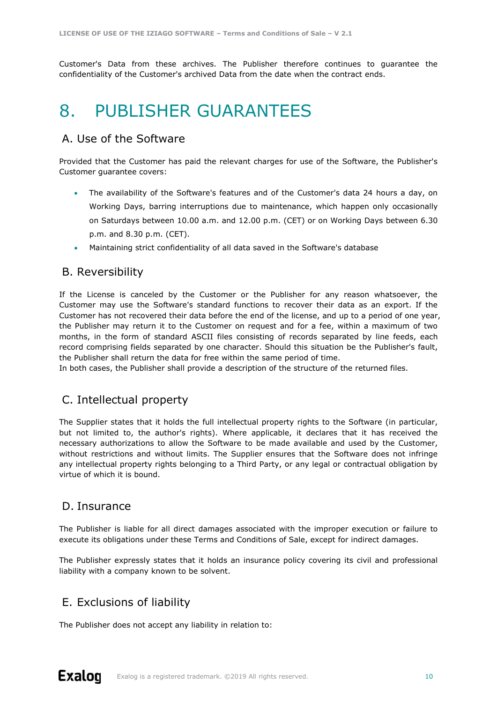<span id="page-9-0"></span>Customer's Data from these archives. The Publisher therefore continues to guarantee the confidentiality of the Customer's archived Data from the date when the contract ends.

### 8. PUBLISHER GUARANTEES

### <span id="page-9-1"></span>A. Use of the Software

Provided that the Customer has paid the relevant charges for use of the Software, the Publisher's Customer guarantee covers:

- The availability of the Software's features and of the Customer's data 24 hours a day, on Working Days, barring interruptions due to maintenance, which happen only occasionally on Saturdays between 10.00 a.m. and 12.00 p.m. (CET) or on Working Days between 6.30 p.m. and 8.30 p.m. (CET).
- Maintaining strict confidentiality of all data saved in the Software's database

#### <span id="page-9-2"></span>B. Reversibility

If the License is canceled by the Customer or the Publisher for any reason whatsoever, the Customer may use the Software's standard functions to recover their data as an export. If the Customer has not recovered their data before the end of the license, and up to a period of one year, the Publisher may return it to the Customer on request and for a fee, within a maximum of two months, in the form of standard ASCII files consisting of records separated by line feeds, each record comprising fields separated by one character. Should this situation be the Publisher's fault, the Publisher shall return the data for free within the same period of time.

In both cases, the Publisher shall provide a description of the structure of the returned files.

#### <span id="page-9-3"></span>C. Intellectual property

The Supplier states that it holds the full intellectual property rights to the Software (in particular, but not limited to, the author's rights). Where applicable, it declares that it has received the necessary authorizations to allow the Software to be made available and used by the Customer, without restrictions and without limits. The Supplier ensures that the Software does not infringe any intellectual property rights belonging to a Third Party, or any legal or contractual obligation by virtue of which it is bound.

#### <span id="page-9-4"></span>D. Insurance

The Publisher is liable for all direct damages associated with the improper execution or failure to execute its obligations under these Terms and Conditions of Sale, except for indirect damages.

The Publisher expressly states that it holds an insurance policy covering its civil and professional liability with a company known to be solvent.

### <span id="page-9-5"></span>E. Exclusions of liability

The Publisher does not accept any liability in relation to: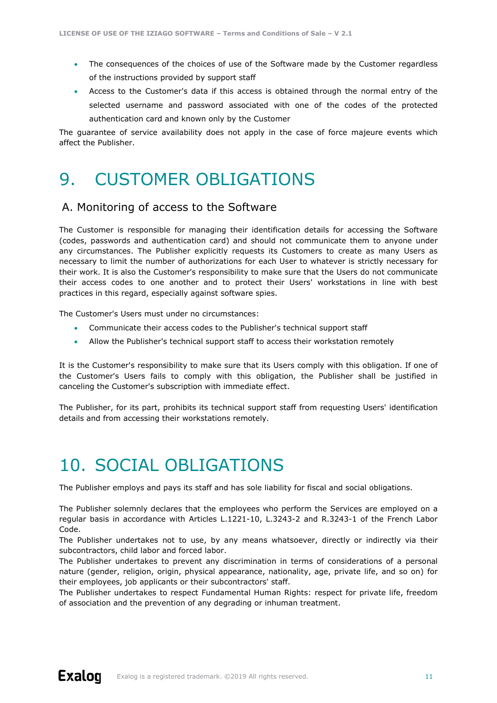- The consequences of the choices of use of the Software made by the Customer regardless of the instructions provided by support staff
- Access to the Customer's data if this access is obtained through the normal entry of the selected username and password associated with one of the codes of the protected authentication card and known only by the Customer

The guarantee of service availability does not apply in the case of force majeure events which affect the Publisher.

### <span id="page-10-0"></span>9. CUSTOMER OBLIGATIONS

#### <span id="page-10-1"></span>A. Monitoring of access to the Software

The Customer is responsible for managing their identification details for accessing the Software (codes, passwords and authentication card) and should not communicate them to anyone under any circumstances. The Publisher explicitly requests its Customers to create as many Users as necessary to limit the number of authorizations for each User to whatever is strictly necessary for their work. It is also the Customer's responsibility to make sure that the Users do not communicate their access codes to one another and to protect their Users' workstations in line with best practices in this regard, especially against software spies.

The Customer's Users must under no circumstances:

- Communicate their access codes to the Publisher's technical support staff
- Allow the Publisher's technical support staff to access their workstation remotely

It is the Customer's responsibility to make sure that its Users comply with this obligation. If one of the Customer's Users fails to comply with this obligation, the Publisher shall be justified in canceling the Customer's subscription with immediate effect.

The Publisher, for its part, prohibits its technical support staff from requesting Users' identification details and from accessing their workstations remotely.

### <span id="page-10-2"></span>10. SOCIAL OBLIGATIONS

The Publisher employs and pays its staff and has sole liability for fiscal and social obligations.

The Publisher solemnly declares that the employees who perform the Services are employed on a regular basis in accordance with Articles L.1221-10, L.3243-2 and R.3243-1 of the French Labor Code.

The Publisher undertakes not to use, by any means whatsoever, directly or indirectly via their subcontractors, child labor and forced labor.

The Publisher undertakes to prevent any discrimination in terms of considerations of a personal nature (gender, religion, origin, physical appearance, nationality, age, private life, and so on) for their employees, job applicants or their subcontractors' staff.

The Publisher undertakes to respect Fundamental Human Rights: respect for private life, freedom of association and the prevention of any degrading or inhuman treatment.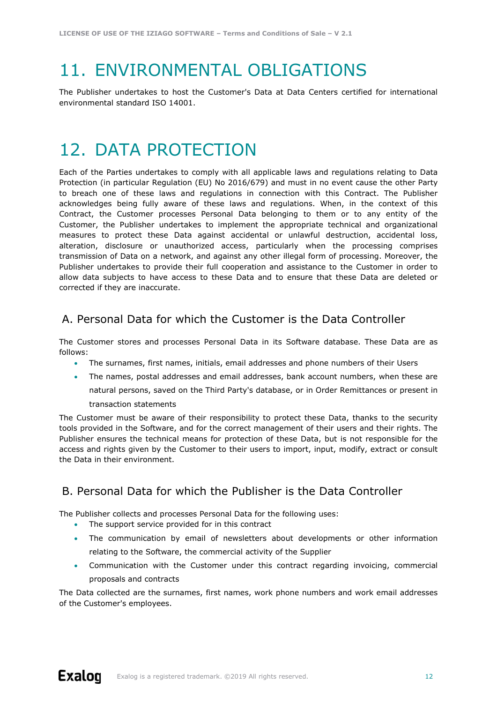# <span id="page-11-0"></span>11. ENVIRONMENTAL OBLIGATIONS

The Publisher undertakes to host the Customer's Data at Data Centers certified for international environmental standard ISO 14001.

### <span id="page-11-1"></span>12. DATA PROTECTION

Each of the Parties undertakes to comply with all applicable laws and regulations relating to Data Protection (in particular Regulation (EU) No 2016/679) and must in no event cause the other Party to breach one of these laws and regulations in connection with this Contract. The Publisher acknowledges being fully aware of these laws and regulations. When, in the context of this Contract, the Customer processes Personal Data belonging to them or to any entity of the Customer, the Publisher undertakes to implement the appropriate technical and organizational measures to protect these Data against accidental or unlawful destruction, accidental loss, alteration, disclosure or unauthorized access, particularly when the processing comprises transmission of Data on a network, and against any other illegal form of processing. Moreover, the Publisher undertakes to provide their full cooperation and assistance to the Customer in order to allow data subjects to have access to these Data and to ensure that these Data are deleted or corrected if they are inaccurate.

#### <span id="page-11-2"></span>A. Personal Data for which the Customer is the Data Controller

The Customer stores and processes Personal Data in its Software database. These Data are as follows:

- The surnames, first names, initials, email addresses and phone numbers of their Users
- The names, postal addresses and email addresses, bank account numbers, when these are natural persons, saved on the Third Party's database, or in Order Remittances or present in transaction statements

The Customer must be aware of their responsibility to protect these Data, thanks to the security tools provided in the Software, and for the correct management of their users and their rights. The Publisher ensures the technical means for protection of these Data, but is not responsible for the access and rights given by the Customer to their users to import, input, modify, extract or consult the Data in their environment.

### <span id="page-11-3"></span>B. Personal Data for which the Publisher is the Data Controller

The Publisher collects and processes Personal Data for the following uses:

- The support service provided for in this contract
- The communication by email of newsletters about developments or other information relating to the Software, the commercial activity of the Supplier
- Communication with the Customer under this contract regarding invoicing, commercial proposals and contracts

The Data collected are the surnames, first names, work phone numbers and work email addresses of the Customer's employees.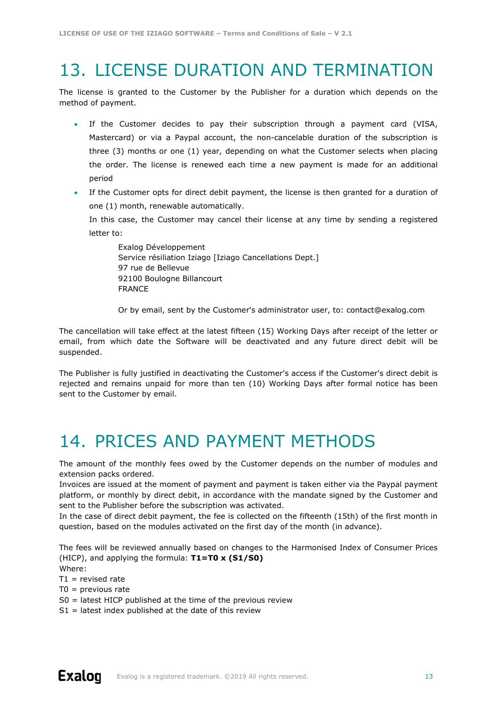### <span id="page-12-0"></span>13. LICENSE DURATION AND TERMINATION

The license is granted to the Customer by the Publisher for a duration which depends on the method of payment.

- If the Customer decides to pay their subscription through a payment card (VISA, Mastercard) or via a Paypal account, the non-cancelable duration of the subscription is three (3) months or one (1) year, depending on what the Customer selects when placing the order. The license is renewed each time a new payment is made for an additional period
- If the Customer opts for direct debit payment, the license is then granted for a duration of one (1) month, renewable automatically.

In this case, the Customer may cancel their license at any time by sending a registered letter to:

Exalog Développement Service résiliation Iziago [Iziago Cancellations Dept.] 97 rue de Bellevue 92100 Boulogne Billancourt FRANCE

Or by email, sent by the Customer's administrator user, to: contact@exalog.com

The cancellation will take effect at the latest fifteen (15) Working Days after receipt of the letter or email, from which date the Software will be deactivated and any future direct debit will be suspended.

The Publisher is fully justified in deactivating the Customer's access if the Customer's direct debit is rejected and remains unpaid for more than ten (10) Working Days after formal notice has been sent to the Customer by email.

### <span id="page-12-1"></span>14. PRICES AND PAYMENT METHODS

The amount of the monthly fees owed by the Customer depends on the number of modules and extension packs ordered.

Invoices are issued at the moment of payment and payment is taken either via the Paypal payment platform, or monthly by direct debit, in accordance with the mandate signed by the Customer and sent to the Publisher before the subscription was activated.

In the case of direct debit payment, the fee is collected on the fifteenth (15th) of the first month in question, based on the modules activated on the first day of the month (in advance).

The fees will be reviewed annually based on changes to the Harmonised Index of Consumer Prices (HICP), and applying the formula: **T1=T0 x (S1/S0)**

Where:

 $T1$  = revised rate

 $TO =$  previous rate

- S0 = latest HICP published at the time of the previous review
- $S1$  = latest index published at the date of this review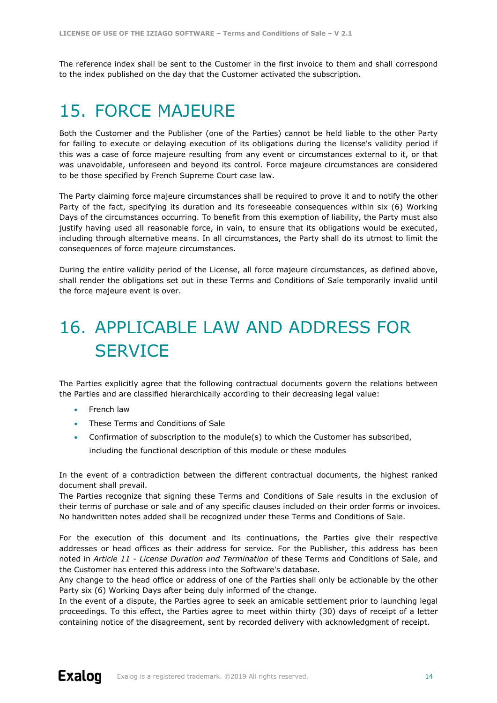<span id="page-13-0"></span>The reference index shall be sent to the Customer in the first invoice to them and shall correspond to the index published on the day that the Customer activated the subscription.

### 15. FORCE MAJEURE

Both the Customer and the Publisher (one of the Parties) cannot be held liable to the other Party for failing to execute or delaying execution of its obligations during the license's validity period if this was a case of force majeure resulting from any event or circumstances external to it, or that was unavoidable, unforeseen and beyond its control. Force majeure circumstances are considered to be those specified by French Supreme Court case law.

The Party claiming force majeure circumstances shall be required to prove it and to notify the other Party of the fact, specifying its duration and its foreseeable consequences within six (6) Working Days of the circumstances occurring. To benefit from this exemption of liability, the Party must also justify having used all reasonable force, in vain, to ensure that its obligations would be executed, including through alternative means. In all circumstances, the Party shall do its utmost to limit the consequences of force majeure circumstances.

During the entire validity period of the License, all force majeure circumstances, as defined above, shall render the obligations set out in these Terms and Conditions of Sale temporarily invalid until the force majeure event is over.

### <span id="page-13-1"></span>16. APPLICABLE LAW AND ADDRESS FOR **SERVICE**

The Parties explicitly agree that the following contractual documents govern the relations between the Parties and are classified hierarchically according to their decreasing legal value:

- French law
- These Terms and Conditions of Sale
- Confirmation of subscription to the module(s) to which the Customer has subscribed, including the functional description of this module or these modules

In the event of a contradiction between the different contractual documents, the highest ranked document shall prevail.

The Parties recognize that signing these Terms and Conditions of Sale results in the exclusion of their terms of purchase or sale and of any specific clauses included on their order forms or invoices. No handwritten notes added shall be recognized under these Terms and Conditions of Sale.

For the execution of this document and its continuations, the Parties give their respective addresses or head offices as their address for service. For the Publisher, this address has been noted in *Article 11 - License Duration and Termination* of these Terms and Conditions of Sale, and the Customer has entered this address into the Software's database.

Any change to the head office or address of one of the Parties shall only be actionable by the other Party six (6) Working Days after being duly informed of the change.

In the event of a dispute, the Parties agree to seek an amicable settlement prior to launching legal proceedings. To this effect, the Parties agree to meet within thirty (30) days of receipt of a letter containing notice of the disagreement, sent by recorded delivery with acknowledgment of receipt.